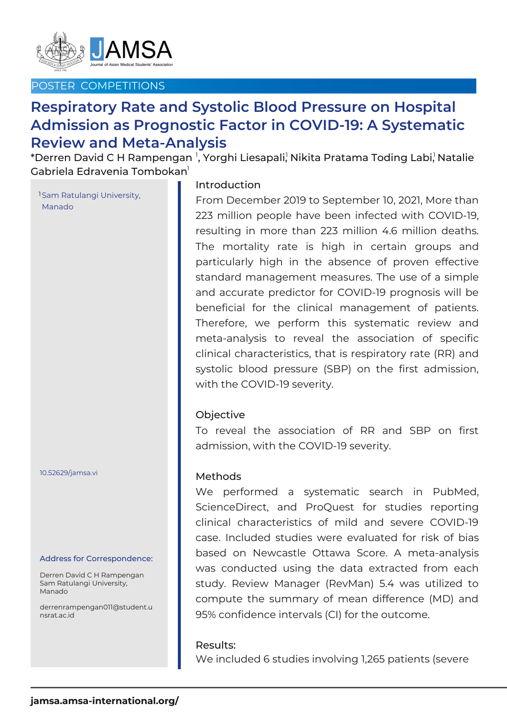

## POSTER COMPETITIONS

# **Respiratory Rate and Systolic Blood Pressure on Hospital Admission as Prognostic Factor in COVID-19: A Systematic Review and Meta-Analysis**

 $^\ast$ Derren David C H Rampengan  $^{\textsf{\tiny{l}}},$  Yorghi Liesapali, $^{\textsf{\tiny{l}}}\!$ Nikita Pratama Toding Labi, $^{\textsf{\tiny{l}}}\!$ Natalie Gabriela Edravenia Tombokan $^{\rm l}$ 

1Sam Ratulangi University, Manado

10.52629/jamsa.vi

#### Address for Correspondence:

Derren David C H Rampengan Sam Ratulangi University, Manado

derrenrampengan011@student.u nsrat.ac.id

## Introduction

From December 2019 to September 10, 2021, More than 223 million people have been infected with COVID-19, resulting in more than 223 million 4.6 million deaths. The mortality rate is high in certain groups and particularly high in the absence of proven effective standard management measures. The use of a simple and accurate predictor for COVID-19 prognosis will be beneficial for the clinical management of patients. Therefore, we perform this systematic review and meta-analysis to reveal the association of specific clinical characteristics, that is respiratory rate (RR) and systolic blood pressure (SBP) on the first admission, with the COVID-19 severity.

## **Objective**

To reveal the association of RR and SBP on first admission, with the COVID-19 severity.

#### Methods

We performed a systematic search in PubMed, ScienceDirect, and ProQuest for studies reporting clinical characteristics of mild and severe COVID-19 case. Included studies were evaluated for risk of bias based on Newcastle Ottawa Score. A meta-analysis was conducted using the data extracted from each study. Review Manager (RevMan) 5.4 was utilized to compute the summary of mean difference (MD) and 95% confidence intervals (CI) for the outcome.

#### Results:

We included 6 studies involving 1,265 patients (severe